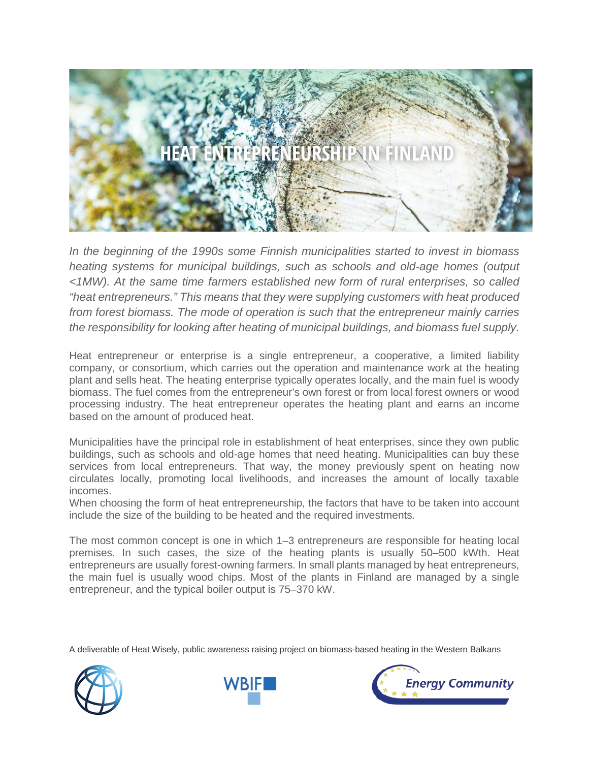

*In the beginning of the 1990s some Finnish municipalities started to invest in biomass heating systems for municipal buildings, such as schools and old-age homes (output <1MW). At the same time farmers established new form of rural enterprises, so called "heat entrepreneurs." This means that they were supplying customers with heat produced from forest biomass. The mode of operation is such that the entrepreneur mainly carries the responsibility for looking after heating of municipal buildings, and biomass fuel supply.*

Heat entrepreneur or enterprise is a single entrepreneur, a cooperative, a limited liability company, or consortium, which carries out the operation and maintenance work at the heating plant and sells heat. The heating enterprise typically operates locally, and the main fuel is woody biomass. The fuel comes from the entrepreneur's own forest or from local forest owners or wood processing industry. The heat entrepreneur operates the heating plant and earns an income based on the amount of produced heat.

Municipalities have the principal role in establishment of heat enterprises, since they own public buildings, such as schools and old-age homes that need heating. Municipalities can buy these services from local entrepreneurs. That way, the money previously spent on heating now circulates locally, promoting local livelihoods, and increases the amount of locally taxable incomes.

When choosing the form of heat entrepreneurship, the factors that have to be taken into account include the size of the building to be heated and the required investments.

The most common concept is one in which 1–3 entrepreneurs are responsible for heating local premises. In such cases, the size of the heating plants is usually 50–500 kWth. Heat entrepreneurs are usually forest-owning farmers. In small plants managed by heat entrepreneurs, the main fuel is usually wood chips. Most of the plants in Finland are managed by a single entrepreneur, and the typical boiler output is 75–370 kW.

A deliverable of Heat Wisely, public awareness raising project on biomass-based heating in the Western Balkans